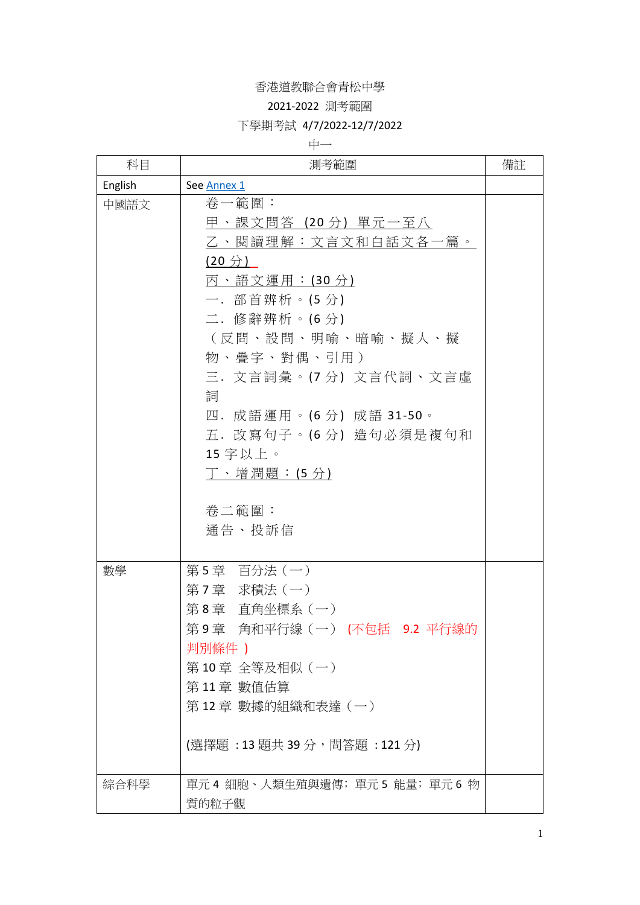### 2021-2022 測考範圍

### 下學期考試 4/7/2022-12/7/2022

中一

| 科目      | 測考範圍                                                                                                                                                                                                                                                                               | 備註 |
|---------|------------------------------------------------------------------------------------------------------------------------------------------------------------------------------------------------------------------------------------------------------------------------------------|----|
| English | See Annex 1                                                                                                                                                                                                                                                                        |    |
| 中國語文    | 卷一範圍:<br>甲、課文問答(20 分)單元一至八<br>乙、閱讀理解:文言文和白話文各一篇。<br>(20 <i>分</i> )<br>丙、語文運用:(30 分)<br>一.部首辨析。(5分)<br>二.修辭辨析。(6分)<br>(反問、設問、明喻、暗喻、擬人、擬<br>物、疊字、對偶、引用)<br>三. 文言詞彙。(7分) 文言代詞、文言虛<br>詞<br>四. 成語運用。(6分) 成語 31-50。<br>五. 改寫句子。(6分) 造句必須是複句和<br>15 字以上。<br>丁、增潤題:(5分)<br>卷二範圍:<br>通告、投訴信 |    |
| 數學      | 第5章 百分法(一)<br>第7章 求積法(一)<br>第8章 直角坐標系 (一)<br>第9章 角和平行線(一)(不包括 9.2 平行線的<br>判別條件 )<br>第10章 全等及相似(一)<br>第11章 數值估算<br>第12章 數據的組織和表達 (一)<br>(選擇題:13題共39分,問答題:121分)                                                                                                                      |    |
| 綜合科學    | 單元4 細胞、人類生殖與遺傳; 單元5 能量; 單元6 物<br>質的粒子觀                                                                                                                                                                                                                                             |    |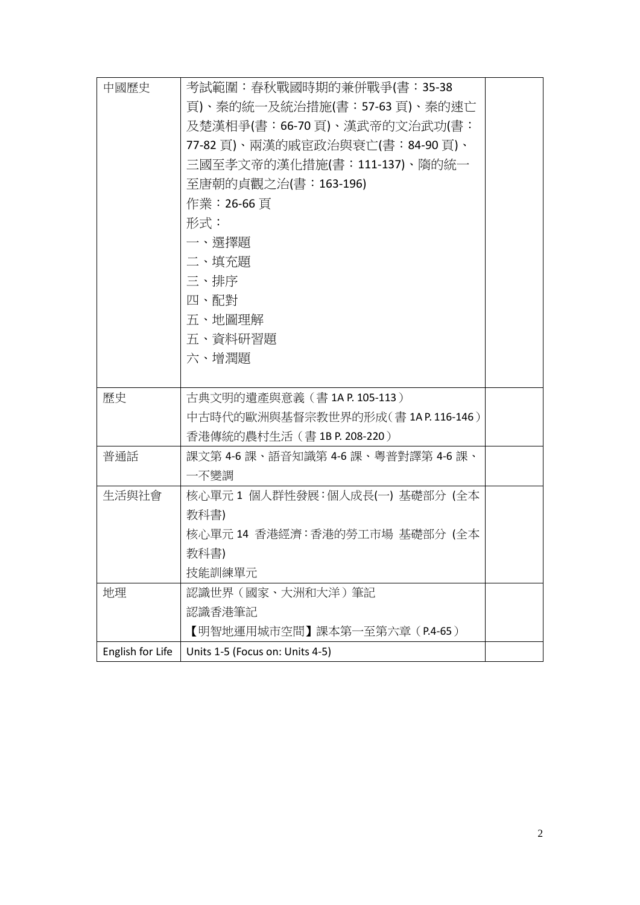| 中國歷史             | 考試範圍:春秋戰國時期的兼併戰爭(書:35-38           |  |
|------------------|------------------------------------|--|
|                  | 頁)、秦的統一及統治措施(書:57-63 頁)、秦的速亡       |  |
|                  | 及楚漢相爭(書:66-70 頁)、漢武帝的文治武功(書:       |  |
|                  | 77-82 頁)、兩漢的戚宦政治與衰亡(書:84-90 頁)、    |  |
|                  | 三國至孝文帝的漢化措施(書:111-137)、隋的統一        |  |
|                  | 至唐朝的貞觀之治(書:163-196)                |  |
|                  | 作業:26-66 頁                         |  |
|                  | 形式:                                |  |
|                  | 一、選擇題                              |  |
|                  | 二、填充題                              |  |
|                  | 三、排序                               |  |
|                  | 四、配對                               |  |
|                  | 五、地圖理解                             |  |
|                  | 五、資料研習題                            |  |
|                  | 六、增潤題                              |  |
|                  |                                    |  |
| 歷史               | 古典文明的遺產與意義 (書 1A P. 105-113)       |  |
|                  | 中古時代的歐洲與基督宗教世界的形成(書 1AP.116-146)   |  |
|                  | 香港傳統的農村生活 (書 1B P. 208-220)        |  |
| 普通話              | 課文第 4-6 課、語音知識第 4-6 課、粵普對譯第 4-6 課、 |  |
|                  | 一不變調                               |  |
| 生活與社會            | 核心單元1 個人群性發展:個人成長(一) 基礎部分 (全本      |  |
|                  | 教科書)                               |  |
|                  | 核心單元 14 香港經濟:香港的勞工市場 基礎部分 (全本      |  |
|                  | 教科書)                               |  |
|                  | 技能訓練單元                             |  |
| 地理               | 認識世界(國家、大洲和大洋)筆記                   |  |
|                  | 認識香港筆記                             |  |
|                  | 【明智地運用城市空間】課本第一至第六章(P.4-65)        |  |
| English for Life | Units 1-5 (Focus on: Units 4-5)    |  |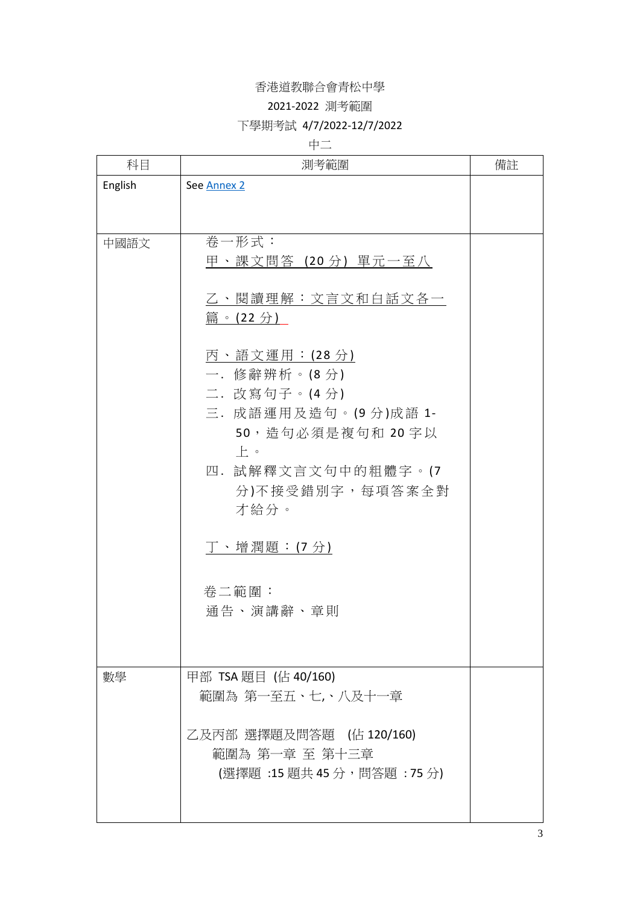#### 2021-2022 測考範圍

### 下學期考試 4/7/2022-12/7/2022

## 中二

| 科目      | 測考範圍                                                                       | 備註 |
|---------|----------------------------------------------------------------------------|----|
| English | See Annex 2                                                                |    |
|         |                                                                            |    |
| 中國語文    | 卷一形式:<br>甲、課文問答(20 分)單元一至八                                                 |    |
|         | 乙、閱讀理解:文言文和白話文各一<br>篇。(22 分)                                               |    |
|         | 丙、語文運用: (28分)<br>一. 修辭辨析。(8分)                                              |    |
|         | 二. 改寫句子。(4分)<br>三. 成語運用及造句。(9分)成語 1-<br>50,造句必須是複句和 20字以                   |    |
|         | $\vdash$ $\circ$<br>四. 試解釋文言文句中的粗體字。(7<br>分)不接受錯別字,每項答案全對<br>才給分。          |    |
|         | 丁、增潤題: (7分)                                                                |    |
|         | 卷二範圍:<br>通告、演講辭、章則                                                         |    |
| 數學      | 甲部 TSA 題目 (佔 40/160)<br>範圍為 第一至五、七,、八及十一章                                  |    |
|         | 乙及丙部 選擇題及問答題 (佔 120/160)<br>範圍為 第一章 至 第十三章<br>(選擇題 :15 題共 45 分,問答題 : 75 分) |    |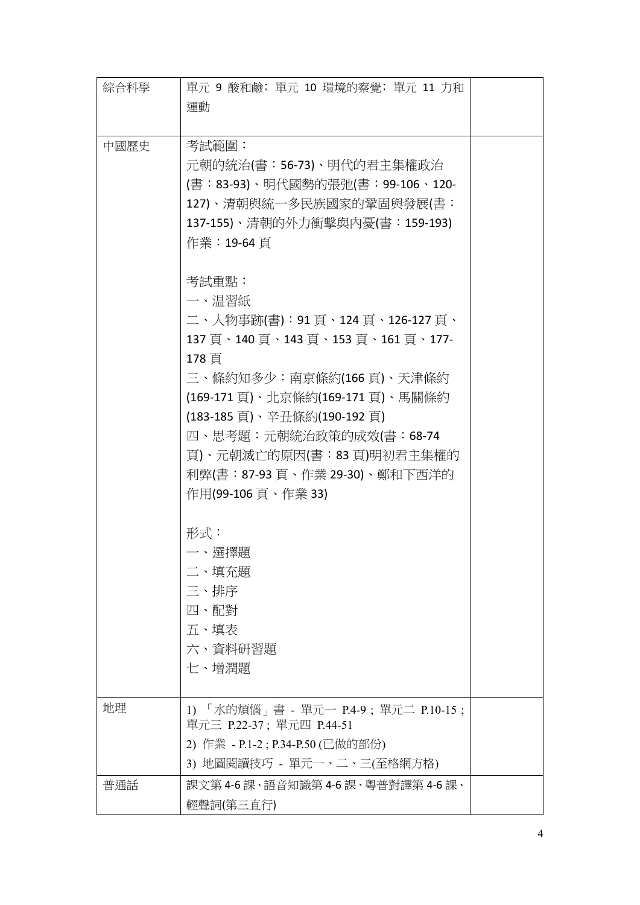| 綜合科學 | 單元 9 酸和鹼; 單元 10 環境的察覺; 單元 11 力和<br>運動                                                                                                                                                                                                                                                            |  |
|------|--------------------------------------------------------------------------------------------------------------------------------------------------------------------------------------------------------------------------------------------------------------------------------------------------|--|
| 中國歷史 | 考試範圍:<br>元朝的統治(書:56-73)、明代的君主集權政治<br>(書:83-93)、明代國勢的張弛(書:99-106、120-<br>127)、清朝與統一多民族國家的鞏固與發展(書:<br>137-155)、清朝的外力衝擊與內憂(書:159-193)<br>作業:19-64 頁<br>考試重點:                                                                                                                                        |  |
|      | 一、温習紙<br>二、人物事跡(書):91 頁、124 頁、126-127 頁、<br>137頁、140頁、143頁、153頁、161頁、177-<br>178 頁<br>三、條約知多少:南京條約(166 頁)、天津條約<br>(169-171 頁)、北京條約(169-171 頁)、馬關條約<br>(183-185 頁)、辛丑條約(190-192 頁)<br>四、思考題:元朝統治政策的成效(書:68-74<br>頁)、元朝滅亡的原因(書:83 頁)明初君主集權的<br>利弊(書:87-93 頁、作業 29-30)、鄭和下西洋的<br>作用(99-106 頁、作業 33) |  |
|      | 形式:<br>一、選擇題<br>二、填充題<br>三、排序<br>四、配對<br>五、填表<br>六、資料研習題<br>七、增潤題                                                                                                                                                                                                                                |  |
| 地理   | 1) 「水的煩惱」書 - 單元一 P.4-9 ; 單元二 P.10-15 ;<br>單元三 P.22-37; 單元四 P.44-51<br>2) 作業 - P.1-2 ; P.34-P.50 (已做的部份)<br>3) 地圖閱讀技巧 - 單元一、二、三(至格網方格)                                                                                                                                                            |  |
| 普通話  | 課文第 4-6 課、語音知識第 4-6 課、粵普對譯第 4-6 課、<br>輕聲詞(第三直行)                                                                                                                                                                                                                                                  |  |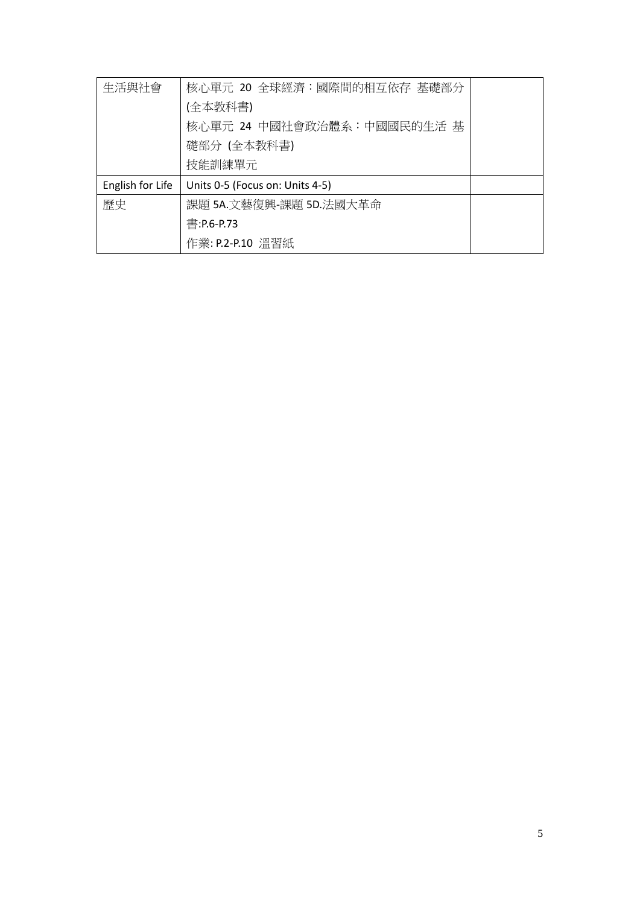| 生活與社會            | 核心單元 20 全球經濟:國際間的相互依存 基礎部分      |  |
|------------------|---------------------------------|--|
|                  | (全本教科書)                         |  |
|                  | 核心單元 24 中國社會政治體系:中國國民的生活 基      |  |
|                  | 礎部分 (全本教科書)                     |  |
|                  | 技能訓練單元                          |  |
| English for Life | Units 0-5 (Focus on: Units 4-5) |  |
| 歷史               | 課題 5A.文藝復興-課題 5D.法國大革命          |  |
|                  | 書:P.6-P.73                      |  |
|                  | 作業: P.2-P.10 溫習紙                |  |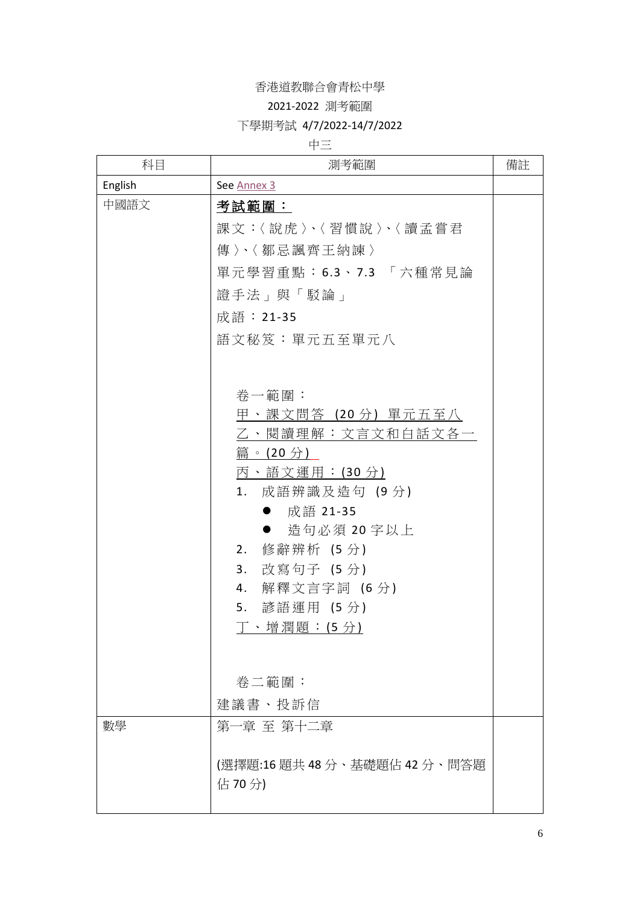### 2021-2022 測考範圍

### 下學期考試 4/7/2022-14/7/2022

## 中三

| 科目      | 測考範圍                                                                                                                                                                                                                                                                                                                                      | 備註 |
|---------|-------------------------------------------------------------------------------------------------------------------------------------------------------------------------------------------------------------------------------------------------------------------------------------------------------------------------------------------|----|
| English | See Annex 3                                                                                                                                                                                                                                                                                                                               |    |
| 中國語文    | 考試範圍:<br>課文:〈說虎〉、〈習慣說〉、〈讀孟嘗君<br>傳〉、〈鄒忌諷齊王納諫〉<br>單元學習重點:6.3、7.3 「六種常見論<br>證手法」與「駁論」<br>成語:21-35<br>語文秘笈:單元五至單元八<br>卷一範圍:<br>甲、課文問答(20分)單元五至八<br>乙、閱讀理解:文言文和白話文各一<br>篇。(20分)<br>丙、語文運用:(30分)<br>1. 成語辨識及造句(9分)<br>● 成語 21-35<br>造句必須 20 字以上<br>$\bullet$<br>修辭辨析 (5分)<br>2.<br>3. 改寫句子 (5分)<br>4. 解釋文言字詞 (6分)<br>5. 諺語運用 (5分)<br>丁、增潤題:(5分) |    |
|         | 卷二範圍:<br>建議書、投訴信                                                                                                                                                                                                                                                                                                                          |    |
| 數學      | 第一章 至 第十二章<br>(選擇題:16題共48分、基礎題佔42分、問答題<br>佔 70分)                                                                                                                                                                                                                                                                                          |    |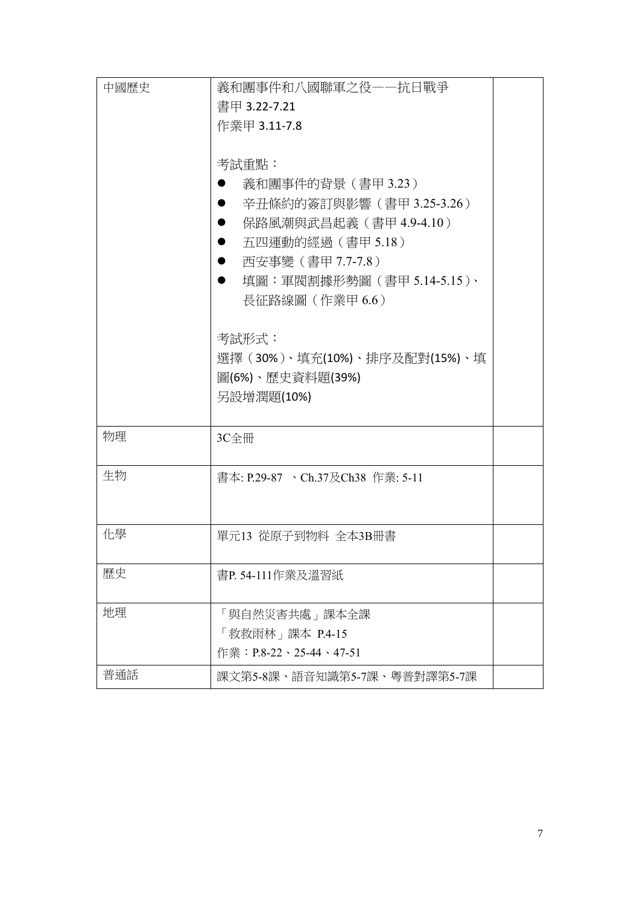| 中國歷史 | 義和團事件和八國聯軍之役——抗日戰爭                       |  |
|------|------------------------------------------|--|
|      | 書甲 3.22-7.21                             |  |
|      | 作業甲 3.11-7.8                             |  |
|      |                                          |  |
|      | 考試重點:                                    |  |
|      | 義和團事件的背景 (書甲 3.23)                       |  |
|      | 辛丑條約的簽訂與影響 ( 書甲 3.25-3.26 )<br>$\bullet$ |  |
|      | 保路風潮與武昌起義(書甲 4.9-4.10)<br>$\bullet$      |  |
|      | 五四運動的經過 (書甲 5.18)<br>$\bullet$           |  |
|      | 西安事變(書甲 7.7-7.8)<br>$\bullet$            |  |
|      | 填圖:軍閥割據形勢圖 (書甲 5.14-5.15)、<br>$\bullet$  |  |
|      | 長征路線圖 (作業甲 6.6)                          |  |
|      |                                          |  |
|      | 考試形式:                                    |  |
|      | 選擇 (30%)、填充(10%)、排序及配對(15%)、填            |  |
|      | 圖(6%)、歷史資料題(39%)                         |  |
|      | 另設增潤題(10%)                               |  |
|      |                                          |  |
| 物理   | 3C全冊                                     |  |
|      |                                          |  |
| 生物   | 書本: P.29-87 、Ch.37及Ch38 作業: 5-11         |  |
|      |                                          |  |
|      |                                          |  |
| 化學   | 單元13 從原子到物料 全本3B冊書                       |  |
|      |                                          |  |
| 歷史   | 書P. 54-111作業及溫習紙                         |  |
|      |                                          |  |
| 地理   | 「與自然災害共處」課本全課                            |  |
|      | 「救救雨林」課本 P.4-15                          |  |
|      | 作業:P.8-22、25-44、47-51                    |  |
| 普通話  | 課文第5-8課、語音知識第5-7課、粵普對譯第5-7課              |  |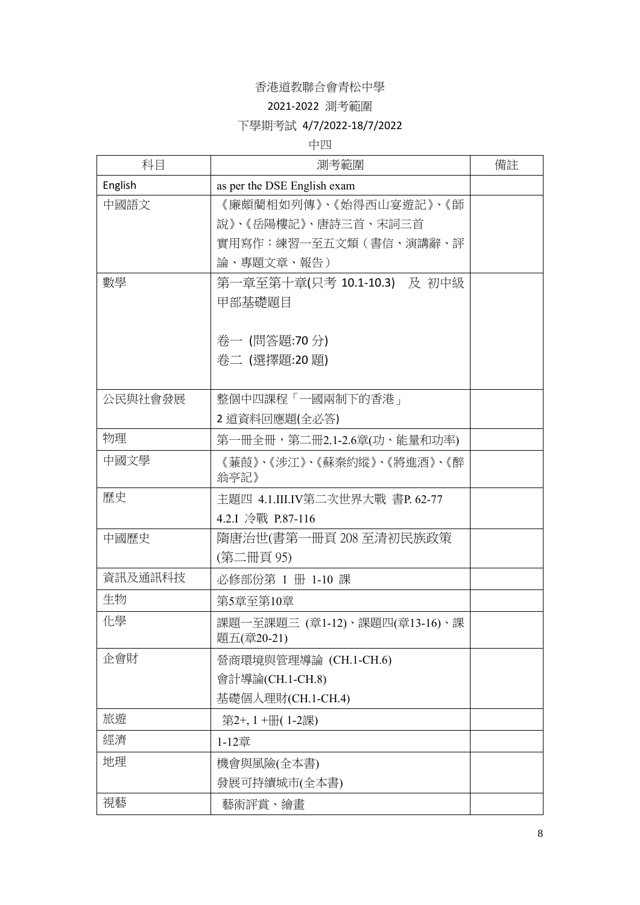### 2021-2022 測考範圍

### 下學期考試 4/7/2022-18/7/2022

#### 中四

| 科目      | 測考範圍                           | 備註 |
|---------|--------------------------------|----|
| English | as per the DSE English exam    |    |
| 中國語文    | 《廉頗藺相如列傳》、《始得西山宴遊記》、《師         |    |
|         | 說》、《岳陽樓記》、唐詩三首、宋詞三首            |    |
|         | 實用寫作:練習一至五文類(書信、演講辭、評          |    |
|         | 論、專題文章、報告)                     |    |
| 數學      | 第一章至第十章(只考 10.1-10.3) 及 初中級    |    |
|         | 甲部基礎題目                         |    |
|         |                                |    |
|         | 卷一 (問答題:70分)                   |    |
|         | 卷二 (選擇題:20 題)                  |    |
|         |                                |    |
| 公民與社會發展 | 整個中四課程「一國兩制下的香港」               |    |
|         | 2 道資料回應題(全必答)                  |    |
| 物理      | 第一冊全冊,第二冊2.1-2.6章(功、能量和功率)     |    |
| 中國文學    | 《蒹葭》、《涉江》、《蘇秦約縱》、《將進酒》、《醉      |    |
|         | 翁亭記》                           |    |
| 歷史      | 主題四 4.1.III.IV第二次世界大戰 書P.62-77 |    |
|         | 4.2.I 冷戰 P.87-116              |    |
| 中國歷史    | 隋唐治世(書第一冊頁 208 至清初民族政策         |    |
|         | (第二冊頁 95)                      |    |
| 資訊及通訊科技 | 必修部份第 1 冊 1-10 課               |    |
| 生物      | 第5章至第10章                       |    |
| 化學      | 課題一至課題三 (章1-12)、課題四(章13-16)、課  |    |
|         | 題五(章20-21)                     |    |
| 企會財     | 營商環境與管理導論 (CH.1-CH.6)          |    |
|         | 會計導論(CH.1-CH.8)                |    |
|         | 基礎個人理財(CH.1-CH.4)              |    |
| 旅遊      | 第2+, 1+册(1-2課)                 |    |
| 經濟      | 1-12章                          |    |
| 地理      | 機會與風險(全本書)                     |    |
|         | 發展可持續城市(全本書)                   |    |
| 視藝      | 藝術評賞、繪畫                        |    |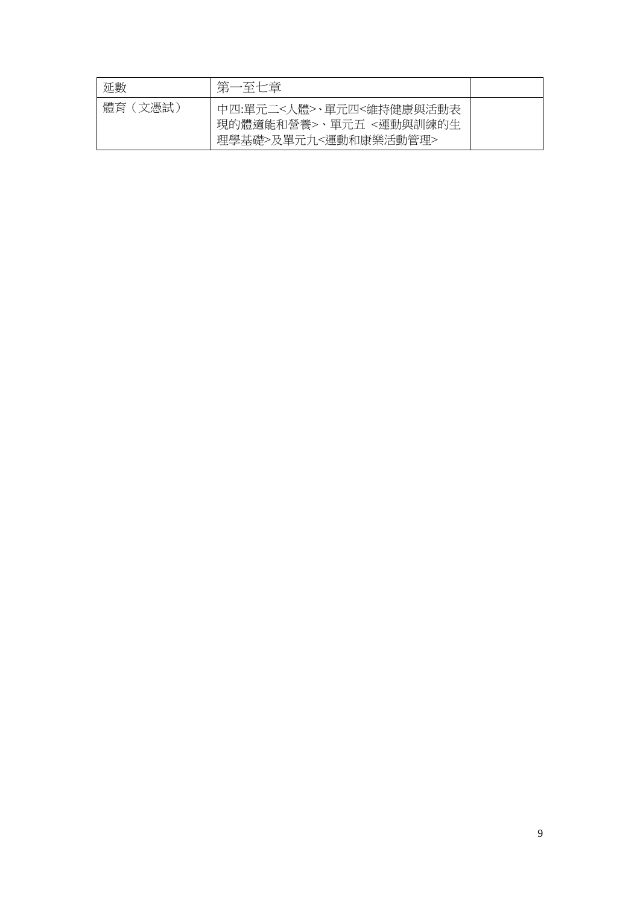| 延數         | 第                                                                         |  |
|------------|---------------------------------------------------------------------------|--|
| 體育<br>(文憑試 | 中四:單元二<人體>、單元四<維持健康與活動表<br>現的體適能和營養>、單元五 <運動與訓練的生<br>理學基礎>及單元九<運動和康樂活動管理> |  |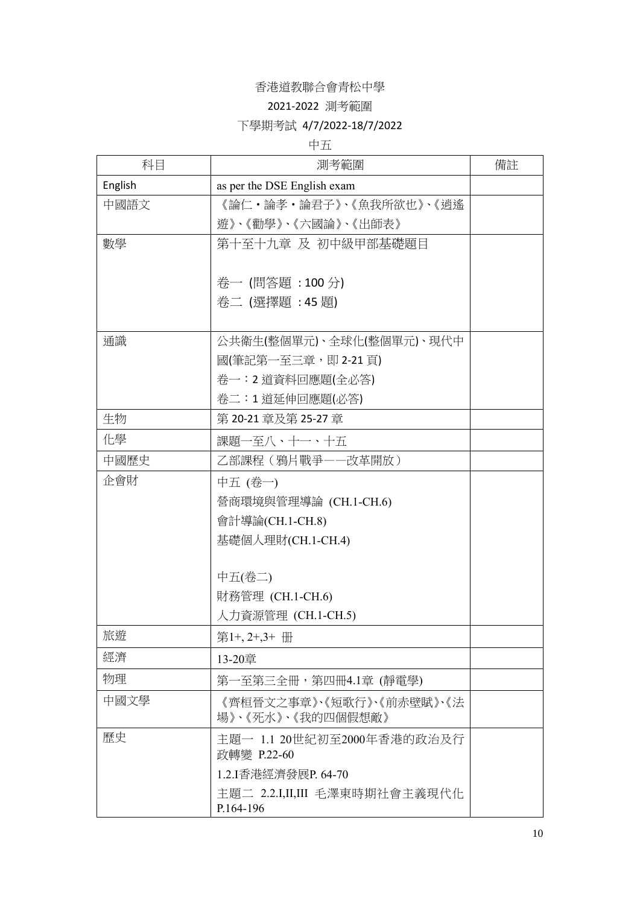#### 2021-2022 測考範圍

### 下學期考試 4/7/2022-18/7/2022

### 中五

| 科目      | 測考範圍                                           | 備註 |
|---------|------------------------------------------------|----|
| English | as per the DSE English exam                    |    |
| 中國語文    | 《論仁・論孝・論君子》、《魚我所欲也》、《逍遙                        |    |
|         | 遊》、《勸學》、《六國論》、《出師表》                            |    |
| 數學      | 第十至十九章 及 初中級甲部基礎題目                             |    |
|         |                                                |    |
|         | 卷一 (問答題:100分)                                  |    |
|         | 卷二 (選擇題:45題)                                   |    |
|         |                                                |    |
| 通識      | 公共衛生(整個單元)、全球化(整個單元)、現代中                       |    |
|         | 國(筆記第一至三章,即 2-21 頁)                            |    |
|         | 卷一:2 道資料回應題(全必答)                               |    |
|         | 卷二:1 道延伸回應題(必答)                                |    |
| 生物      | 第 20-21 章及第 25-27 章                            |    |
| 化學      | 課題一至八、十一、十五                                    |    |
| 中國歷史    | 乙部課程 (鴉片戰爭一一改革開放)                              |    |
| 企會財     | 中五 (卷一)                                        |    |
|         | 營商環境與管理導論 (CH.1-CH.6)                          |    |
|         | 會計導論(CH.1-CH.8)                                |    |
|         | 基礎個人理財(CH.1-CH.4)                              |    |
|         |                                                |    |
|         | 中五(卷二)                                         |    |
|         | 財務管理 (CH.1-CH.6)                               |    |
|         | 人力資源管理 (CH.1-CH.5)                             |    |
| 旅遊      | 第1+, 2+, 3+ 冊                                  |    |
| 經濟      | 13-20章                                         |    |
| 物理      | 第一至第三全冊,第四冊4.1章 (靜電學)                          |    |
| 中國文學    | 《齊桓晉文之事章》、《短歌行》、《前赤壁賦》、《法<br>場》、《死水》、《我的四個假想敵》 |    |
| 歷史      | 主題一 1.1 20世紀初至2000年香港的政治及行<br>政轉變 P.22-60      |    |
|         | 1.2.I香港經濟發展P. 64-70                            |    |
|         | 主題二 2.2.I,II,III 毛澤東時期社會主義現代化<br>P.164-196     |    |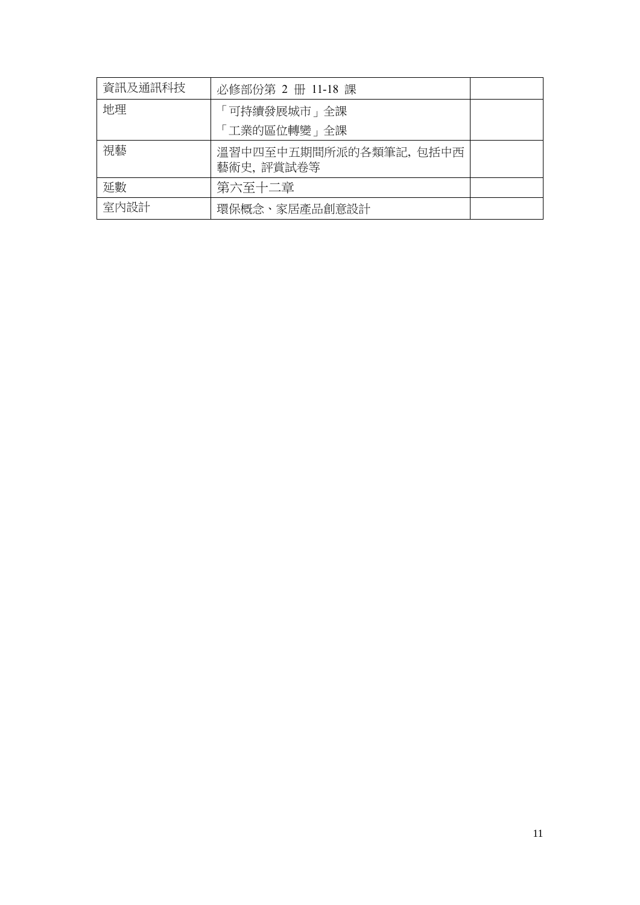| 資訊及通訊科技 | 必修部份第 2 册 11-18 課                    |  |
|---------|--------------------------------------|--|
| 地理      | 「可持續發展城市」全課<br>「工業的區位轉變」全課           |  |
| 視藝      | 溫習中四至中五期間所派的各類筆記, 包括中西<br>藝術史, 評賞試卷等 |  |
| 延數      | 第六至十二章                               |  |
| 室内設計    | 環保概念、家居產品創意設計                        |  |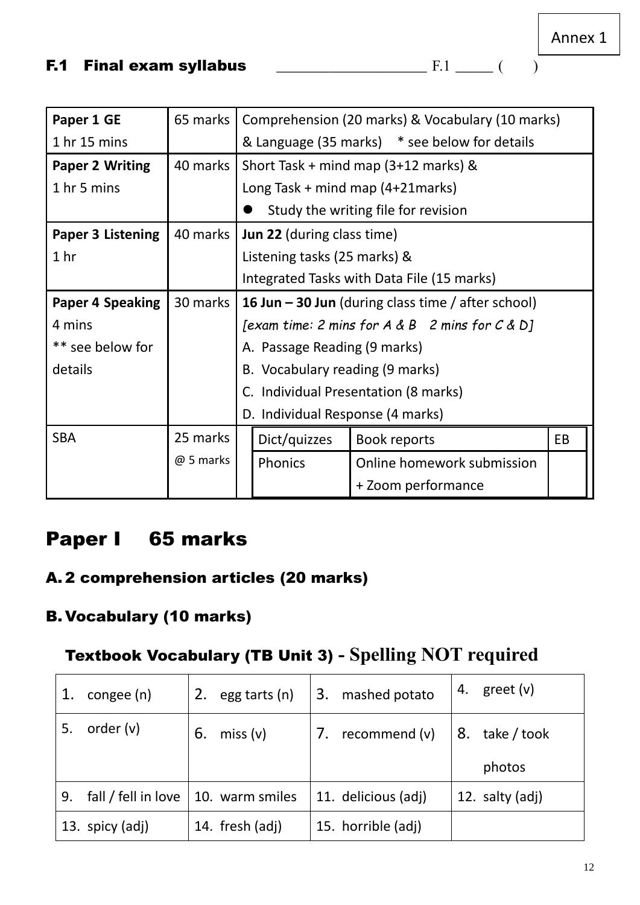<span id="page-11-0"></span>

| Paper 1 GE               | 65 marks | Comprehension (20 marks) & Vocabulary (10 marks)          |
|--------------------------|----------|-----------------------------------------------------------|
| 1 <sub>hr</sub> 15 mins  |          | & Language (35 marks) * see below for details             |
| <b>Paper 2 Writing</b>   | 40 marks | Short Task + mind map $(3+12$ marks) &                    |
| 1 hr 5 mins              |          | Long Task $+$ mind map $(4+21$ marks)                     |
|                          |          | Study the writing file for revision                       |
| <b>Paper 3 Listening</b> | 40 marks | <b>Jun 22 (during class time)</b>                         |
| 1 <sub>hr</sub>          |          | Listening tasks (25 marks) &                              |
|                          |          | Integrated Tasks with Data File (15 marks)                |
| <b>Paper 4 Speaking</b>  | 30 marks | <b>16 Jun – 30 Jun</b> (during class time / after school) |
| 4 mins                   |          | [exam time: 2 mins for $A \& B$ 2 mins for $C \& D$ ]     |
| ** see below for         |          | A. Passage Reading (9 marks)                              |
| details                  |          | B. Vocabulary reading (9 marks)                           |
|                          |          | C. Individual Presentation (8 marks)                      |
|                          |          | D. Individual Response (4 marks)                          |

| <b>SBA</b> | 25 marks  |  | Dict/quizzes   | Book reports               | EB |  |  |
|------------|-----------|--|----------------|----------------------------|----|--|--|
|            | @ 5 marks |  | <b>Phonics</b> | Online homework submission |    |  |  |
|            |           |  |                | + Zoom performance         |    |  |  |

# Paper I 65 marks

# A. 2 comprehension articles (20 marks)

# B. Vocabulary (10 marks)

# Textbook Vocabulary (TB Unit 3) **- Spelling NOT required**

| 1. | congee (n)          | 2. | egg tarts (n)   | 3. | mashed potato       | 4. | greet (v)       |
|----|---------------------|----|-----------------|----|---------------------|----|-----------------|
| 5. | order $(v)$         | 6. | miss(v)         | 7. | recommend (v)       | 8. | take / took     |
|    |                     |    |                 |    |                     |    | photos          |
|    |                     |    |                 |    |                     |    |                 |
| 9. | fall / fell in love |    | 10. warm smiles |    | 11. delicious (adj) |    | 12. salty (adj) |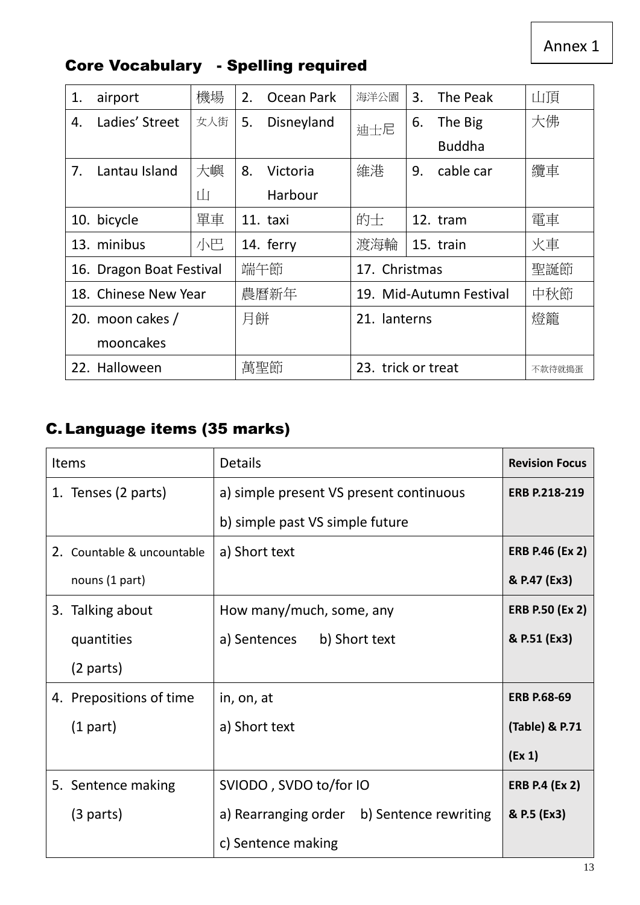Annex 1

| 1. | airport                  | 機場  | 2.  | Ocean Park   | 海洋公園               | 3. | The Peak                | 山頂     |
|----|--------------------------|-----|-----|--------------|--------------------|----|-------------------------|--------|
| 4. | Ladies' Street           | 女人街 | 5.  | Disneyland   | 迪士尼                | 6. | The Big                 | 大佛     |
|    |                          |     |     |              |                    |    | <b>Buddha</b>           |        |
| 7. | Lantau Island            | 大嶼  | 8.  | Victoria     | 維港                 | 9. | cable car               | 纜車     |
|    |                          | Ш   |     | Harbour      |                    |    |                         |        |
|    | 10. bicycle              | 單車  |     | 11. taxi     | 的士                 |    | 12. tram                | 電車     |
|    | 13. minibus              | 小巴  |     | 14. ferry    | 渡海輪                |    | 15. train               | 火車     |
|    | 16. Dragon Boat Festival |     | 端午節 |              | 17. Christmas      |    |                         | 聖誕節    |
|    | 18. Chinese New Year     |     |     | 農曆新年         |                    |    | 19. Mid-Autumn Festival | 中秋節    |
|    | 月餅<br>20. moon cakes /   |     |     | 21. lanterns |                    |    | 燈籠                      |        |
|    | mooncakes                |     |     |              |                    |    |                         |        |
|    | 22. Halloween            |     | 萬聖節 |              | 23. trick or treat |    |                         | 不款待就搗蛋 |

# Core Vocabulary - Spelling required

# C. Language items (35 marks)

| <b>Items</b>               | <b>Details</b>                             | <b>Revision Focus</b>  |
|----------------------------|--------------------------------------------|------------------------|
| 1. Tenses (2 parts)        | a) simple present VS present continuous    | <b>ERB P.218-219</b>   |
|                            | b) simple past VS simple future            |                        |
| 2. Countable & uncountable | a) Short text                              | <b>ERB P.46 (Ex 2)</b> |
| nouns (1 part)             |                                            | & P.47 (Ex3)           |
| 3. Talking about           | How many/much, some, any                   | <b>ERB P.50 (Ex 2)</b> |
| quantities                 | a) Sentences b) Short text                 | & P.51 (Ex3)           |
| $(2$ parts)                |                                            |                        |
| 4. Prepositions of time    | in, on, at                                 | <b>ERB P.68-69</b>     |
| $(1$ part)                 | a) Short text                              | (Table) & P.71         |
|                            |                                            | (Ex 1)                 |
| 5. Sentence making         | SVIODO, SVDO to/for IO                     | <b>ERB P.4 (Ex 2)</b>  |
| (3 parts)                  | a) Rearranging order b) Sentence rewriting | & P.5 (Ex3)            |
|                            | c) Sentence making                         |                        |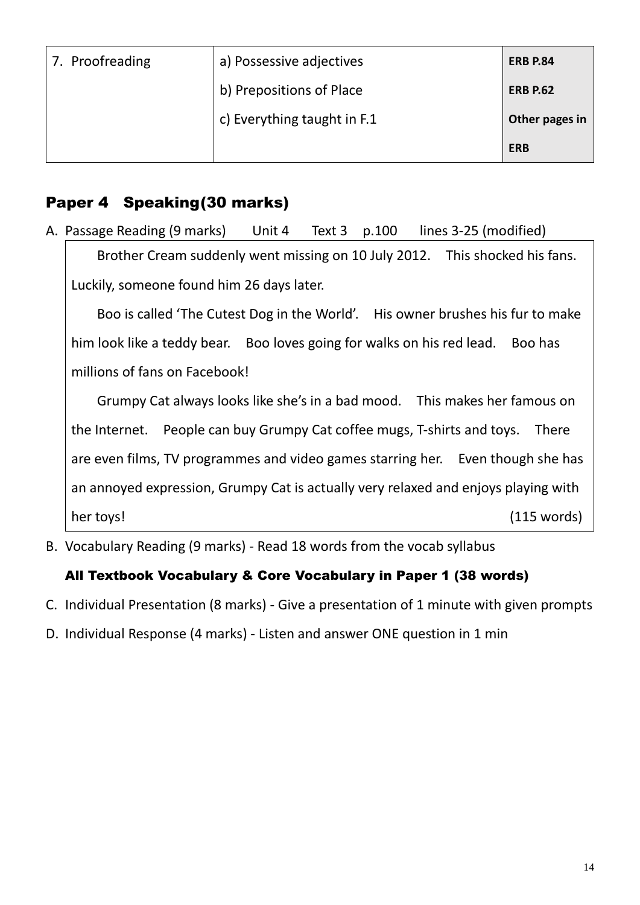| 7. Proofreading | a) Possessive adjectives    | <b>ERB P.84</b> |
|-----------------|-----------------------------|-----------------|
|                 | b) Prepositions of Place    | <b>ERB P.62</b> |
|                 | c) Everything taught in F.1 | Other pages in  |
|                 |                             | <b>ERB</b>      |

# Paper 4 Speaking(30 marks)

A. Passage Reading (9 marks) Unit 4 Text 3 p.100 lines 3-25 (modified) Brother Cream suddenly went missing on 10 July 2012. This shocked his fans. Luckily, someone found him 26 days later.

Boo is called 'The Cutest Dog in the World'. His owner brushes his fur to make him look like a teddy bear. Boo loves going for walks on his red lead. Boo has millions of fans on Facebook!

Grumpy Cat always looks like she's in a bad mood. This makes her famous on the Internet. People can buy Grumpy Cat coffee mugs, T-shirts and toys. There are even films, TV programmes and video games starring her. Even though she has an annoyed expression, Grumpy Cat is actually very relaxed and enjoys playing with her toys! (115 words)

B. Vocabulary Reading (9 marks) - Read 18 words from the vocab syllabus

# All Textbook Vocabulary & Core Vocabulary in Paper 1 (38 words)

- C. Individual Presentation (8 marks) Give a presentation of 1 minute with given prompts
- D. Individual Response (4 marks) Listen and answer ONE question in 1 min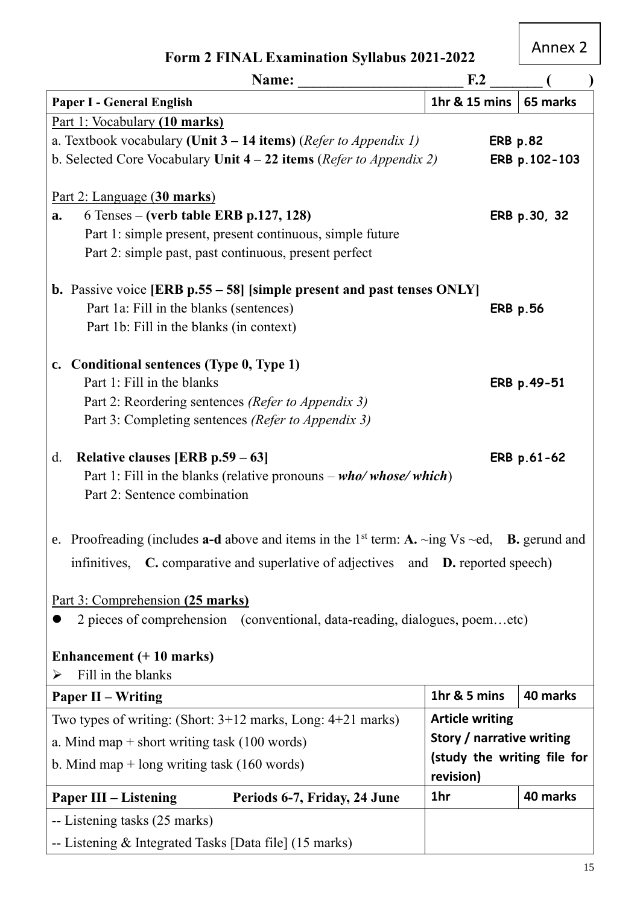# <span id="page-14-0"></span>Annex 2

| Name:                                                                                                                                                                                         | F <sub>1</sub> 2          |                             |  |  |  |  |
|-----------------------------------------------------------------------------------------------------------------------------------------------------------------------------------------------|---------------------------|-----------------------------|--|--|--|--|
| <b>Paper I - General English</b>                                                                                                                                                              | 1hr & 15 mins             | 65 marks                    |  |  |  |  |
| Part 1: Vocabulary (10 marks)                                                                                                                                                                 |                           |                             |  |  |  |  |
| a. Textbook vocabulary (Unit $3 - 14$ items) (Refer to Appendix 1)<br><b>ERB p.82</b>                                                                                                         |                           |                             |  |  |  |  |
| b. Selected Core Vocabulary Unit $4 - 22$ items ( <i>Refer to Appendix 2</i> )                                                                                                                |                           | ERB p.102-103               |  |  |  |  |
|                                                                                                                                                                                               |                           |                             |  |  |  |  |
| Part 2: Language (30 marks)                                                                                                                                                                   |                           |                             |  |  |  |  |
| $6$ Tenses – (verb table ERB p.127, 128)<br>a.                                                                                                                                                |                           | ERB p.30, 32                |  |  |  |  |
| Part 1: simple present, present continuous, simple future                                                                                                                                     |                           |                             |  |  |  |  |
| Part 2: simple past, past continuous, present perfect                                                                                                                                         |                           |                             |  |  |  |  |
| <b>b.</b> Passive voice [ERB $p.55 - 58$ ] [simple present and past tenses ONLY]                                                                                                              |                           |                             |  |  |  |  |
| Part 1a: Fill in the blanks (sentences)                                                                                                                                                       |                           | <b>ERB p.56</b>             |  |  |  |  |
| Part 1b: Fill in the blanks (in context)                                                                                                                                                      |                           |                             |  |  |  |  |
|                                                                                                                                                                                               |                           |                             |  |  |  |  |
| c. Conditional sentences (Type 0, Type 1)                                                                                                                                                     |                           |                             |  |  |  |  |
| Part 1: Fill in the blanks                                                                                                                                                                    |                           | ERB p.49-51                 |  |  |  |  |
| Part 2: Reordering sentences (Refer to Appendix 3)                                                                                                                                            |                           |                             |  |  |  |  |
| Part 3: Completing sentences (Refer to Appendix 3)                                                                                                                                            |                           |                             |  |  |  |  |
| Relative clauses [ERB $p.59 - 63$ ]<br>d.<br>Part 1: Fill in the blanks (relative pronouns $-$ who/whose/which)<br>Part 2: Sentence combination                                               |                           | ERB p.61-62                 |  |  |  |  |
| e. Proofreading (includes a-d above and items in the 1 <sup>st</sup> term: A. ~ing Vs ~ed, B. gerund and<br>infinitives, C. comparative and superlative of adjectives and D. reported speech) |                           |                             |  |  |  |  |
| <u>Part 3: Comprehension (25 marks)</u>                                                                                                                                                       |                           |                             |  |  |  |  |
| 2 pieces of comprehension (conventional, data-reading, dialogues, poemetc)                                                                                                                    |                           |                             |  |  |  |  |
| Enhancement $(+ 10$ marks)                                                                                                                                                                    |                           |                             |  |  |  |  |
| Fill in the blanks<br>➤                                                                                                                                                                       |                           |                             |  |  |  |  |
| <b>Paper II – Writing</b>                                                                                                                                                                     | 1hr & 5 mins              | 40 marks                    |  |  |  |  |
| Two types of writing: (Short: $3+12$ marks, Long: $4+21$ marks)                                                                                                                               | <b>Article writing</b>    |                             |  |  |  |  |
| a. Mind map $+$ short writing task (100 words)                                                                                                                                                | Story / narrative writing |                             |  |  |  |  |
| b. Mind map $+$ long writing task (160 words)                                                                                                                                                 | revision)                 | (study the writing file for |  |  |  |  |
| <b>Paper III – Listening</b><br>Periods 6-7, Friday, 24 June                                                                                                                                  | 1hr                       | 40 marks                    |  |  |  |  |
| -- Listening tasks (25 marks)                                                                                                                                                                 |                           |                             |  |  |  |  |
| -- Listening & Integrated Tasks [Data file] (15 marks)                                                                                                                                        |                           |                             |  |  |  |  |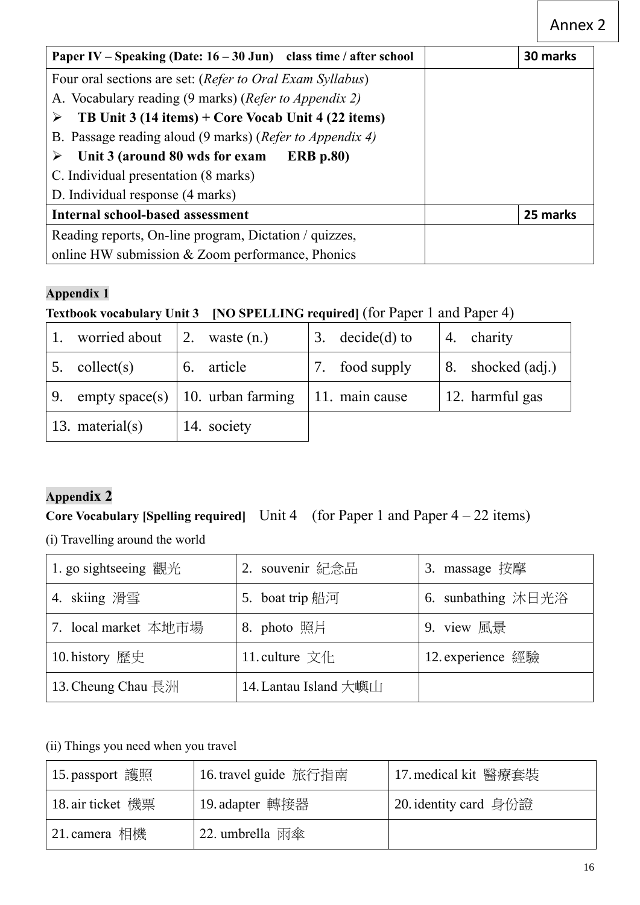| Paper IV – Speaking (Date: $16 - 30$ Jun) class time / after school         | 30 marks |
|-----------------------------------------------------------------------------|----------|
| Four oral sections are set: (Refer to Oral Exam Syllabus)                   |          |
| A. Vocabulary reading (9 marks) ( <i>Refer to Appendix 2</i> )              |          |
| TB Unit $3(14 \text{ items}) + \text{Core Vocab Unit } 4(22 \text{ items})$ |          |
| B. Passage reading aloud (9 marks) ( <i>Refer to Appendix 4</i> )           |          |
| Unit 3 (around 80 wds for exam<br><b>ERB</b> p.80)<br>➤                     |          |
| C. Individual presentation (8 marks)                                        |          |
| D. Individual response (4 marks)                                            |          |
| <b>Internal school-based assessment</b>                                     | 25 marks |
| Reading reports, On-line program, Dictation / quizzes,                      |          |
| online HW submission & Zoom performance, Phonics                            |          |

## **Appendix 1**

# **Textbook vocabulary Unit 3 [NO SPELLING required]** (for Paper 1 and Paper 4)

|    | worried about      | $\vert 2.$ waste $(n.)$            | 3. $decide(d)$ to | 4. charity        |
|----|--------------------|------------------------------------|-------------------|-------------------|
| 5. | collect(s)         | 6. article                         | 7. food supply    | 8. shocked (adj.) |
| 9. |                    | empty space(s)   10. urban farming | 11. main cause    | 12. harmful gas   |
|    | 13. material $(s)$ | 14. society                        |                   |                   |

# **Appendix 2**

# **Core Vocabulary [Spelling required]** Unit 4 (for Paper 1 and Paper 4 – 22 items)

(i) Travelling around the world

| 1. go sight seeing 觀光 | 2. souvenir 紀念品                                   | 3. massage 按摩      |
|-----------------------|---------------------------------------------------|--------------------|
| 4. skiing 滑雪          | 5. boat trip 船河                                   | 6. sunbathing 沐日光浴 |
| 7. local market 本地市場  | 8. photo 照片                                       | 9. view 風景         |
| 10. history 歷史        | 11. culture $\overline{\chi}$ ( $\overline{\chi}$ | 12. experience 經驗  |
| 13. Cheung Chau 長洲    | 14. Lantau Island 大嶼山                             |                    |

### (ii) Things you need when you travel

| 15. passport 護照   | 16. travel guide 旅行指南 | 17. medical kit 醫療套裝  |
|-------------------|-----------------------|-----------------------|
| 18. air ticket 機票 | 19. adapter 轉接器       | 20. identity card 身份證 |
| 21. camera 相機     | 22. umbrella 雨傘       |                       |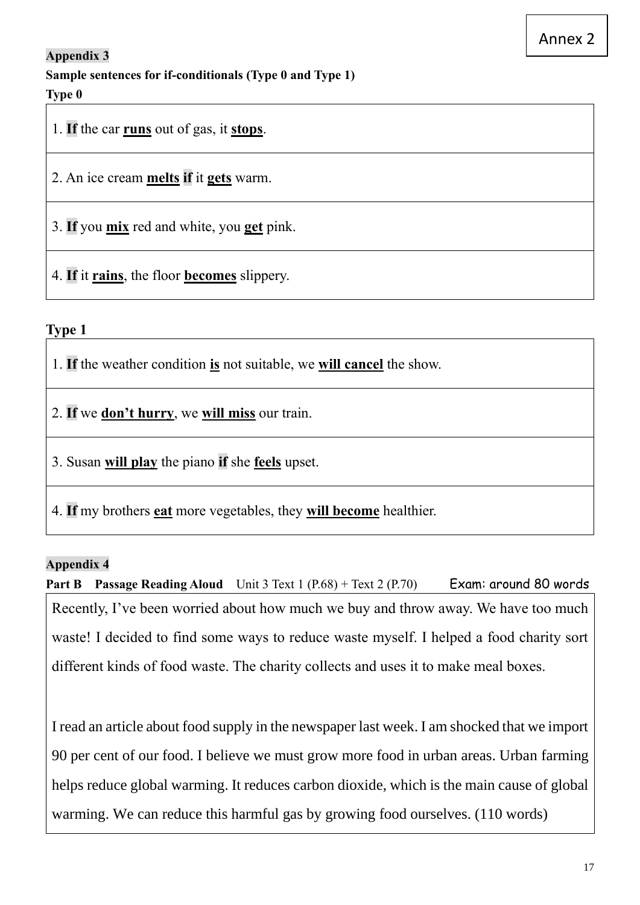### **Appendix 3**

**Sample sentences for if-conditionals (Type 0 and Type 1)**

### **Type 0**

1. **If** the car **runs** out of gas, it **stops**.

2. An ice cream **melts if** it **gets** warm.

3. **If** you **mix** red and white, you **get** pink.

4. **If** it **rains**, the floor **becomes** slippery.

### **Type 1**

1. **If** the weather condition **is** not suitable, we **will cancel** the show.

2. **If** we **don't hurry**, we **will miss** our train.

3. Susan **will play** the piano **if** she **feels** upset.

4. **If** my brothers **eat** more vegetables, they **will become** healthier.

#### **Appendix 4**

**Part B Passage Reading Aloud** Unit 3 Text 1 (P.68) + Text 2 (P.70) Exam: around 80 words Recently, I've been worried about how much we buy and throw away. We have too much waste! I decided to find some ways to reduce waste myself. I helped a food charity sort different kinds of food waste. The charity collects and uses it to make meal boxes.

I read an article about food supply in the newspaper last week. I am shocked that we import 90 per cent of our food. I believe we must grow more food in urban areas. Urban farming helps reduce global warming. It reduces carbon dioxide, which is the main cause of global warming. We can reduce this harmful gas by growing food ourselves. (110 words)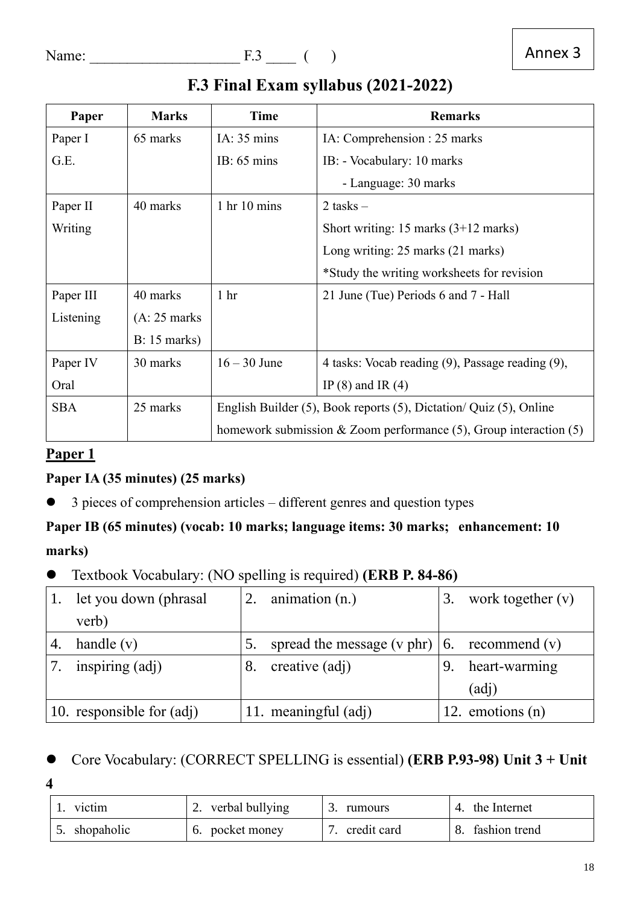# <span id="page-17-0"></span>**F.3 Final Exam syllabus (2021-2022)**

| Paper      | <b>Marks</b>   | Time                                                                       | <b>Remarks</b>                                                      |  |
|------------|----------------|----------------------------------------------------------------------------|---------------------------------------------------------------------|--|
| Paper I    | 65 marks       | IA: $35 \text{ mins}$                                                      | IA: Comprehension : 25 marks                                        |  |
| G.E.       |                | IB: $65 \text{ mins}$                                                      | IB: - Vocabulary: 10 marks                                          |  |
|            |                |                                                                            | - Language: 30 marks                                                |  |
| Paper II   | 40 marks       | $1 \text{ hr} 10 \text{ mins}$                                             | 2 tasks $-$                                                         |  |
| Writing    |                |                                                                            | Short writing: 15 marks $(3+12 \text{ marks})$                      |  |
|            |                |                                                                            | Long writing: 25 marks (21 marks)                                   |  |
|            |                |                                                                            | *Study the writing worksheets for revision                          |  |
| Paper III  | 40 marks       | 1 <sub>hr</sub>                                                            | 21 June (Tue) Periods 6 and 7 - Hall                                |  |
| Listening  | $(A: 25$ marks |                                                                            |                                                                     |  |
|            | $B: 15$ marks) |                                                                            |                                                                     |  |
| Paper IV   | 30 marks       | $16 - 30$ June                                                             | 4 tasks: Vocab reading (9), Passage reading (9),                    |  |
| Oral       |                |                                                                            | IP $(8)$ and IR $(4)$                                               |  |
| <b>SBA</b> | 25 marks       | English Builder $(5)$ , Book reports $(5)$ , Dictation/Quiz $(5)$ , Online |                                                                     |  |
|            |                |                                                                            | homework submission $&$ Zoom performance (5), Group interaction (5) |  |

# **Paper 1**

## **Paper IA (35 minutes) (25 marks)**

⚫ 3 pieces of comprehension articles – different genres and question types

# **Paper IB (65 minutes) (vocab: 10 marks; language items: 30 marks; enhancement: 10 marks)**

⚫ Textbook Vocabulary: (NO spelling is required) **(ERB P. 84-86)**

|    | let you down (phrasal     | 2. | animation $(n.)$                                     | work together $(v)$ |
|----|---------------------------|----|------------------------------------------------------|---------------------|
|    | verb)                     |    |                                                      |                     |
| 4. | handle $(v)$              |    | spread the message (v phr) $\vert 6$ . recommend (v) |                     |
|    | inspiring (adj)           |    | creative (adj)                                       | heart-warming       |
|    |                           |    |                                                      | (adj)               |
|    | 10. responsible for (adj) |    | 11. meaningful (adj)                                 | 12. emotions $(n)$  |

## ⚫ Core Vocabulary: (CORRECT SPELLING is essential) **(ERB P.93-98) Unit 3 + Unit**

**4**

| 1. victim     | 2. verbal bullying | rumours     | 4. the Internet  |
|---------------|--------------------|-------------|------------------|
| 5. shopaholic | 6. pocket money    | credit card | 8. fashion trend |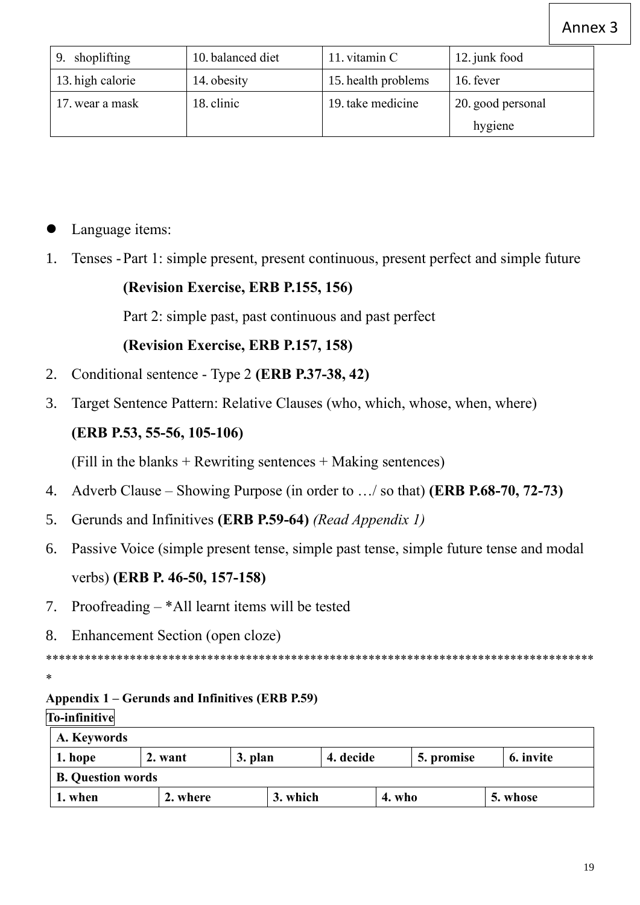| 9. shoplifting   | 10. balanced diet | 11. vitamin C       | 12. junk food                |
|------------------|-------------------|---------------------|------------------------------|
| 13. high calorie | 14. obesity       | 15. health problems | 16. fever                    |
| 17. wear a mask  | 18. clinic        | 19. take medicine   | 20. good personal<br>hygiene |

## Language items:

1. Tenses -Part 1: simple present, present continuous, present perfect and simple future

## **(Revision Exercise, ERB P.155, 156)**

Part 2: simple past, past continuous and past perfect

### **(Revision Exercise, ERB P.157, 158)**

- 2. Conditional sentence Type 2 **(ERB P.37-38, 42)**
- 3. Target Sentence Pattern: Relative Clauses (who, which, whose, when, where)

## **(ERB P.53, 55-56, 105-106)**

(Fill in the blanks + Rewriting sentences + Making sentences)

- 4. Adverb Clause Showing Purpose (in order to …/ so that) **(ERB P.68-70, 72-73)**
- 5. Gerunds and Infinitives **(ERB P.59-64)** *(Read Appendix 1)*
- 6. Passive Voice (simple present tense, simple past tense, simple future tense and modal verbs) **(ERB P. 46-50, 157-158)**
- 7. Proofreading \*All learnt items will be tested
- 8. Enhancement Section (open cloze)

\*\*\*\*\*\*\*\*\*\*\*\*\*\*\*\*\*\*\*\*\*\*\*\*\*\*\*\*\*\*\*\*\*\*\*\*\*\*\*\*\*\*\*\*\*\*\*\*\*\*\*\*\*\*\*\*\*\*\*\*\*\*\*\*\*\*\*\*\*\*\*\*\*\*\*\*\*\*\*\*\*\*\*\*\*

## **Appendix 1 – Gerunds and Infinitives (ERB P.59)**

#### **To-infinitive**

\*

| A. Keywords              |  |          |  |           |  |            |           |
|--------------------------|--|----------|--|-----------|--|------------|-----------|
| 1. hope<br>2. want       |  | 3. plan  |  | 4. decide |  | 5. promise | 6. invite |
| <b>B.</b> Question words |  |          |  |           |  |            |           |
| 2. where<br>1. when      |  | 3. which |  | 4. who    |  | 5. whose   |           |